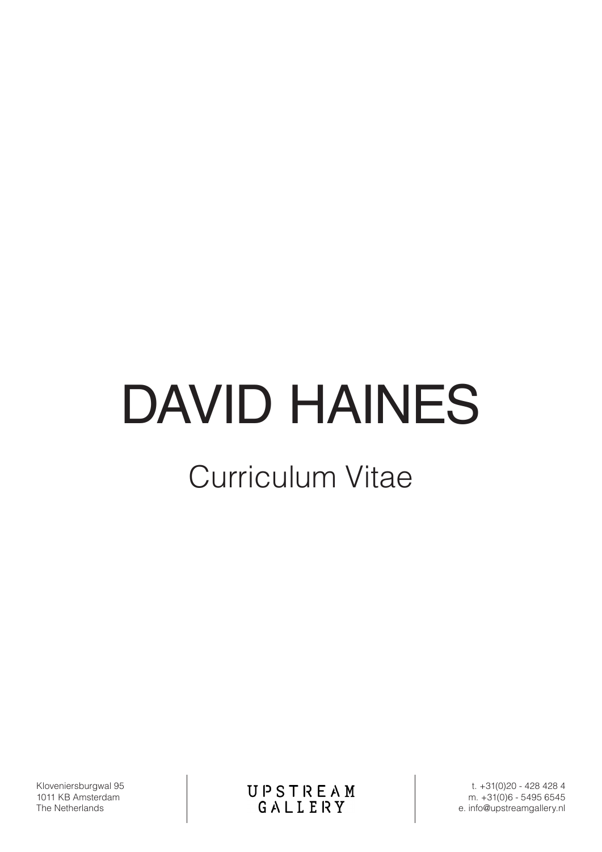# DAVID HAINES

# Curriculum Vitae

Kloveniersburgwal 95 1011 KB Amsterdam The Netherlands

UPSTREAM<br>GALLERY

t. +31(0)20 - 428 428 4 m. +31(0)6 - 5495 6545 e. info@upstreamgallery.nl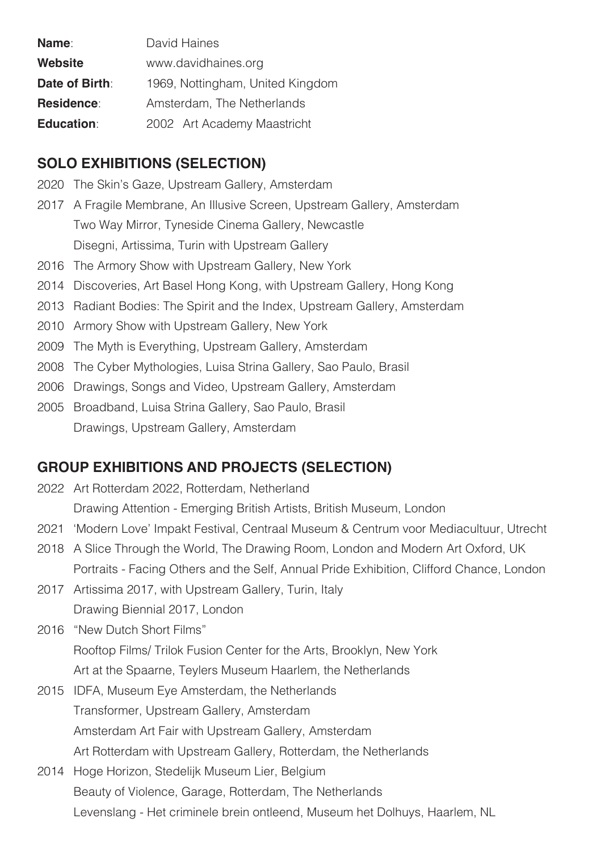| <b>Name:</b>      | David Haines                     |
|-------------------|----------------------------------|
| <b>Website</b>    | www.davidhaines.org              |
| Date of Birth:    | 1969, Nottingham, United Kingdom |
| <b>Residence:</b> | Amsterdam, The Netherlands       |
| <b>Education:</b> | 2002 Art Academy Maastricht      |

#### **SOLO EXHIBITIONS (SELECTION)**

- 2020 The Skin's Gaze, Upstream Gallery, Amsterdam
- 2017 A Fragile Membrane, An Illusive Screen, Upstream Gallery, Amsterdam Two Way Mirror, Tyneside Cinema Gallery, Newcastle Disegni, Artissima, Turin with Upstream Gallery
- 2016 The Armory Show with Upstream Gallery, New York
- 2014 Discoveries, Art Basel Hong Kong, with Upstream Gallery, Hong Kong
- 2013 Radiant Bodies: The Spirit and the Index, Upstream Gallery, Amsterdam
- 2010 Armory Show with Upstream Gallery, New York
- 2009 The Myth is Everything, Upstream Gallery, Amsterdam
- 2008 The Cyber Mythologies, Luisa Strina Gallery, Sao Paulo, Brasil
- 2006 Drawings, Songs and Video, Upstream Gallery, Amsterdam
- 2005 Broadband, Luisa Strina Gallery, Sao Paulo, Brasil Drawings, Upstream Gallery, Amsterdam

#### **GROUP EXHIBITIONS AND PROJECTS (SELECTION)**

- 2022 Art Rotterdam 2022, Rotterdam, Netherland Drawing Attention - Emerging British Artists, British Museum, London
- 2021 'Modern Love' Impakt Festival, Centraal Museum & Centrum voor Mediacultuur, Utrecht
- 2018 A Slice Through the World, The Drawing Room, London and Modern Art Oxford, UK Portraits - Facing Others and the Self, Annual Pride Exhibition, Clifford Chance, London
- 2017 Artissima 2017, with Upstream Gallery, Turin, Italy Drawing Biennial 2017, London
- 2016 "New Dutch Short Films" Rooftop Films/ Trilok Fusion Center for the Arts, Brooklyn, New York Art at the Spaarne, Teylers Museum Haarlem, the Netherlands
- 2015 IDFA, Museum Eye Amsterdam, the Netherlands Transformer, Upstream Gallery, Amsterdam Amsterdam Art Fair with Upstream Gallery, Amsterdam Art Rotterdam with Upstream Gallery, Rotterdam, the Netherlands
- 2014 Hoge Horizon, Stedelijk Museum Lier, Belgium Beauty of Violence, Garage, Rotterdam, The Netherlands Levenslang - Het criminele brein ontleend, Museum het Dolhuys, Haarlem, NL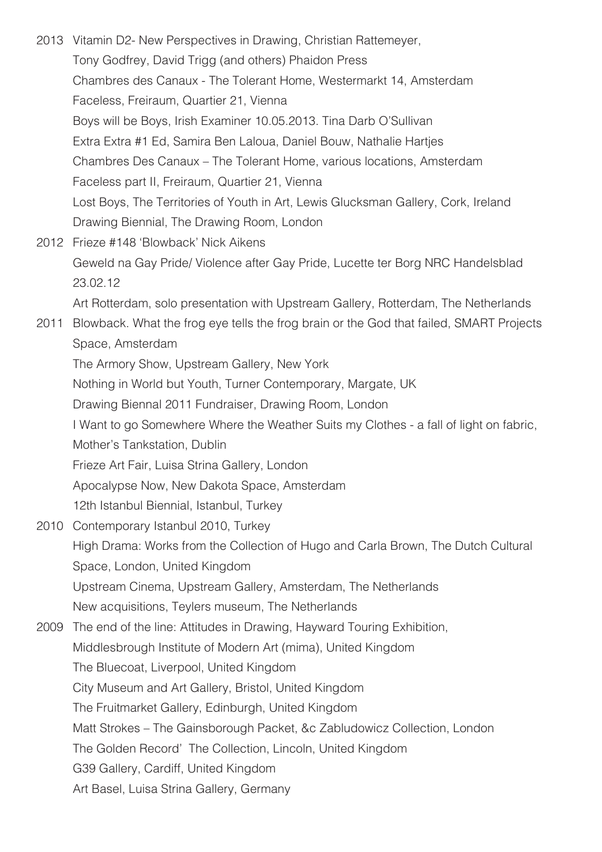- 2013 Vitamin D2- New Perspectives in Drawing, Christian Rattemeyer, Tony Godfrey, David Trigg (and others) Phaidon Press Chambres des Canaux - The Tolerant Home, Westermarkt 14, Amsterdam Faceless, Freiraum, Quartier 21, Vienna Boys will be Boys, Irish Examiner 10.05.2013. Tina Darb O'Sullivan Extra Extra #1 Ed, Samira Ben Laloua, Daniel Bouw, Nathalie Hartjes Chambres Des Canaux – The Tolerant Home, various locations, Amsterdam Faceless part II, Freiraum, Quartier 21, Vienna Lost Boys, The Territories of Youth in Art, Lewis Glucksman Gallery, Cork, Ireland Drawing Biennial, The Drawing Room, London 2012 Frieze #148 'Blowback' Nick Aikens Geweld na Gay Pride/ Violence after Gay Pride, Lucette ter Borg NRC Handelsblad 23.02.12 Art Rotterdam, solo presentation with Upstream Gallery, Rotterdam, The Netherlands 2011 Blowback. What the frog eye tells the frog brain or the God that failed, SMART Projects Space, Amsterdam The Armory Show, Upstream Gallery, New York
	- Nothing in World but Youth, Turner Contemporary, Margate, UK
	- Drawing Biennal 2011 Fundraiser, Drawing Room, London
	- I Want to go Somewhere Where the Weather Suits my Clothes a fall of light on fabric,
	- Mother's Tankstation, Dublin
	- Frieze Art Fair, Luisa Strina Gallery, London
	- Apocalypse Now, New Dakota Space, Amsterdam
	- 12th Istanbul Biennial, Istanbul, Turkey
- 2010 Contemporary Istanbul 2010, Turkey High Drama: Works from the Collection of Hugo and Carla Brown, The Dutch Cultural Space, London, United Kingdom Upstream Cinema, Upstream Gallery, Amsterdam, The Netherlands New acquisitions, Teylers museum, The Netherlands
- 2009 The end of the line: Attitudes in Drawing, Hayward Touring Exhibition, Middlesbrough Institute of Modern Art (mima), United Kingdom The Bluecoat, Liverpool, United Kingdom City Museum and Art Gallery, Bristol, United Kingdom The Fruitmarket Gallery, Edinburgh, United Kingdom Matt Strokes – The Gainsborough Packet, &c Zabludowicz Collection, London The Golden Record' The Collection, Lincoln, United Kingdom G39 Gallery, Cardiff, United Kingdom Art Basel, Luisa Strina Gallery, Germany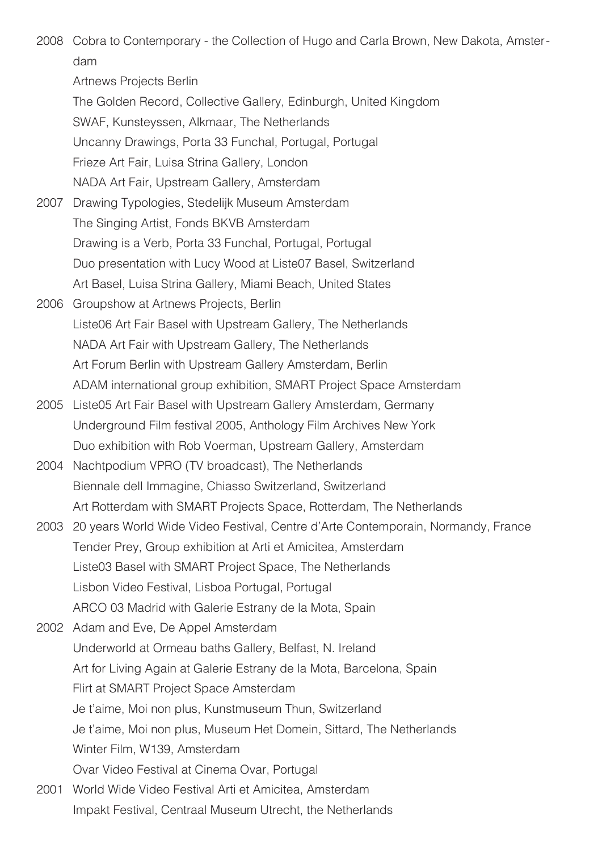2008 Cobra to Contemporary - the Collection of Hugo and Carla Brown, New Dakota, Amsterdam

Artnews Projects Berlin

The Golden Record, Collective Gallery, Edinburgh, United Kingdom SWAF, Kunsteyssen, Alkmaar, The Netherlands Uncanny Drawings, Porta 33 Funchal, Portugal, Portugal Frieze Art Fair, Luisa Strina Gallery, London NADA Art Fair, Upstream Gallery, Amsterdam

- 2007 Drawing Typologies, Stedelijk Museum Amsterdam The Singing Artist, Fonds BKVB Amsterdam Drawing is a Verb, Porta 33 Funchal, Portugal, Portugal Duo presentation with Lucy Wood at Liste07 Basel, Switzerland Art Basel, Luisa Strina Gallery, Miami Beach, United States
- 2006 Groupshow at Artnews Projects, Berlin Liste06 Art Fair Basel with Upstream Gallery, The Netherlands NADA Art Fair with Upstream Gallery, The Netherlands Art Forum Berlin with Upstream Gallery Amsterdam, Berlin ADAM international group exhibition, SMART Project Space Amsterdam
- 2005 Liste05 Art Fair Basel with Upstream Gallery Amsterdam, Germany Underground Film festival 2005, Anthology Film Archives New York Duo exhibition with Rob Voerman, Upstream Gallery, Amsterdam
- 2004 Nachtpodium VPRO (TV broadcast), The Netherlands Biennale dell Immagine, Chiasso Switzerland, Switzerland Art Rotterdam with SMART Projects Space, Rotterdam, The Netherlands
- 2003 20 years World Wide Video Festival, Centre d'Arte Contemporain, Normandy, France Tender Prey, Group exhibition at Arti et Amicitea, Amsterdam Liste03 Basel with SMART Project Space, The Netherlands Lisbon Video Festival, Lisboa Portugal, Portugal ARCO 03 Madrid with Galerie Estrany de la Mota, Spain
- 2002 Adam and Eve, De Appel Amsterdam Underworld at Ormeau baths Gallery, Belfast, N. Ireland Art for Living Again at Galerie Estrany de la Mota, Barcelona, Spain Flirt at SMART Project Space Amsterdam Je t'aime, Moi non plus, Kunstmuseum Thun, Switzerland Je t'aime, Moi non plus, Museum Het Domein, Sittard, The Netherlands Winter Film, W139, Amsterdam Ovar Video Festival at Cinema Ovar, Portugal
- 2001 World Wide Video Festival Arti et Amicitea, Amsterdam Impakt Festival, Centraal Museum Utrecht, the Netherlands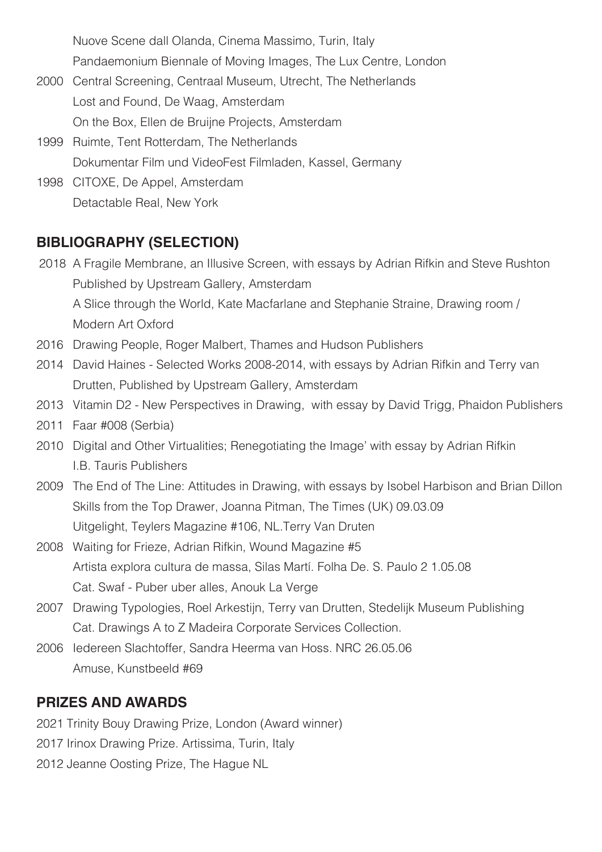Nuove Scene dall Olanda, Cinema Massimo, Turin, Italy Pandaemonium Biennale of Moving Images, The Lux Centre, London

- 2000 Central Screening, Centraal Museum, Utrecht, The Netherlands Lost and Found, De Waag, Amsterdam On the Box, Ellen de Bruijne Projects, Amsterdam
- 1999 Ruimte, Tent Rotterdam, The Netherlands Dokumentar Film und VideoFest Filmladen, Kassel, Germany
- 1998 CITOXE, De Appel, Amsterdam Detactable Real, New York

#### **BIBLIOGRAPHY (SELECTION)**

- 2018 A Fragile Membrane, an Illusive Screen, with essays by Adrian Rifkin and Steve Rushton Published by Upstream Gallery, Amsterdam A Slice through the World, Kate Macfarlane and Stephanie Straine, Drawing room / Modern Art Oxford
- 2016 Drawing People, Roger Malbert, Thames and Hudson Publishers
- 2014 David Haines Selected Works 2008-2014, with essays by Adrian Rifkin and Terry van Drutten, Published by Upstream Gallery, Amsterdam
- 2013 Vitamin D2 New Perspectives in Drawing, with essay by David Trigg, Phaidon Publishers
- 2011 Faar #008 (Serbia)
- 2010 Digital and Other Virtualities; Renegotiating the Image' with essay by Adrian Rifkin I.B. Tauris Publishers
- 2009 The End of The Line: Attitudes in Drawing, with essays by Isobel Harbison and Brian Dillon Skills from the Top Drawer, Joanna Pitman, The Times (UK) 09.03.09 Uitgelight, Teylers Magazine #106, NL.Terry Van Druten
- 2008 Waiting for Frieze, Adrian Rifkin, Wound Magazine #5 Artista explora cultura de massa, Silas Martí. Folha De. S. Paulo 2 1.05.08 Cat. Swaf - Puber uber alles, Anouk La Verge
- 2007 Drawing Typologies, Roel Arkestijn, Terry van Drutten, Stedelijk Museum Publishing Cat. Drawings A to Z Madeira Corporate Services Collection.
- 2006 Iedereen Slachtoffer, Sandra Heerma van Hoss. NRC 26.05.06 Amuse, Kunstbeeld #69

# **PRIZES AND AWARDS**

- 2021 Trinity Bouy Drawing Prize, London (Award winner)
- 2017 Irinox Drawing Prize. Artissima, Turin, Italy
- 2012 Jeanne Oosting Prize, The Hague NL